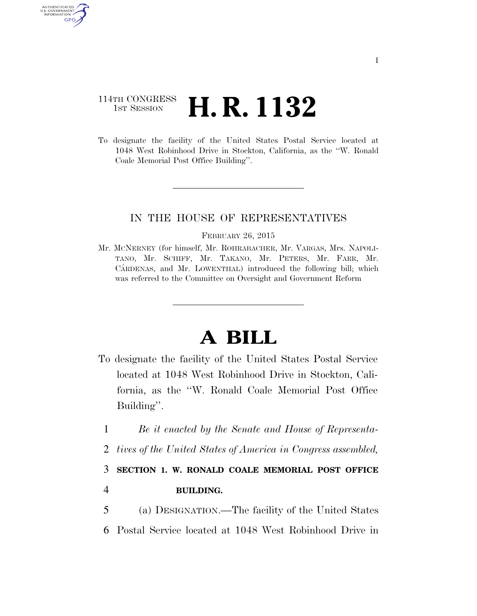## 114TH CONGRESS 1st Session **H. R. 1132**

AUTHENTICATED U.S. GOVERNMENT GPO

> To designate the facility of the United States Postal Service located at 1048 West Robinhood Drive in Stockton, California, as the ''W. Ronald Coale Memorial Post Office Building''.

### IN THE HOUSE OF REPRESENTATIVES

#### FEBRUARY 26, 2015

Mr. MCNERNEY (for himself, Mr. ROHRABACHER, Mr. VARGAS, Mrs. NAPOLI-TANO, Mr. SCHIFF, Mr. TAKANO, Mr. PETERS, Mr. FARR, Mr. CÁRDENAS, and Mr. LOWENTHAL) introduced the following bill; which was referred to the Committee on Oversight and Government Reform

# **A BILL**

- To designate the facility of the United States Postal Service located at 1048 West Robinhood Drive in Stockton, California, as the ''W. Ronald Coale Memorial Post Office Building''.
	- 1 *Be it enacted by the Senate and House of Representa-*
	- 2 *tives of the United States of America in Congress assembled,*

# 3 **SECTION 1. W. RONALD COALE MEMORIAL POST OFFICE**

### 4 **BUILDING.**

5 (a) DESIGNATION.—The facility of the United States 6 Postal Service located at 1048 West Robinhood Drive in